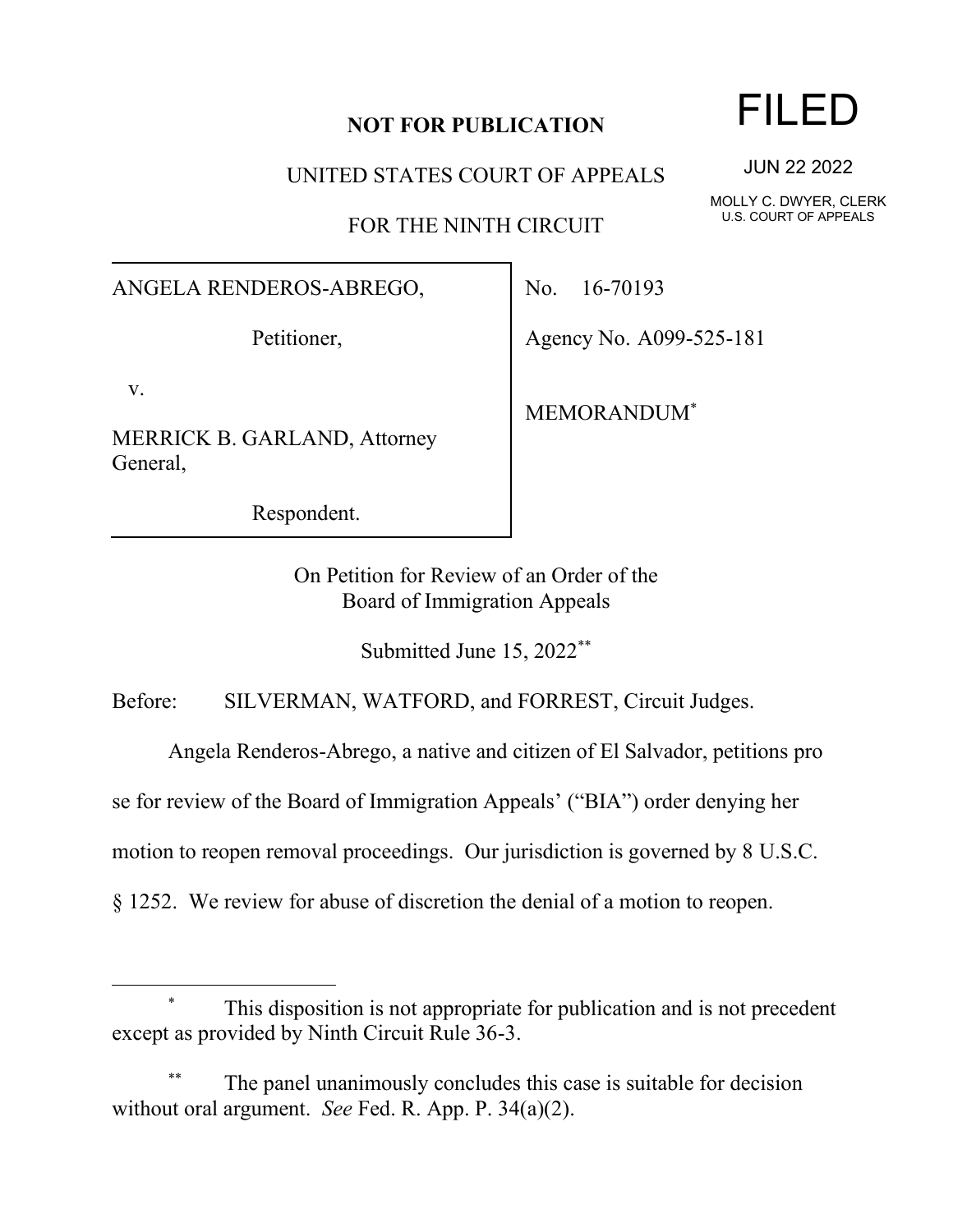### **NOT FOR PUBLICATION**

UNITED STATES COURT OF APPEALS

FOR THE NINTH CIRCUIT

#### ANGELA RENDEROS-ABREGO,

Petitioner,

v.

MERRICK B. GARLAND, Attorney General,

Respondent.

No. 16-70193

Agency No. A099-525-181

MEMORANDUM\*

On Petition for Review of an Order of the Board of Immigration Appeals

Submitted June 15, 2022\*\*

Before: SILVERMAN, WATFORD, and FORREST, Circuit Judges.

Angela Renderos-Abrego, a native and citizen of El Salvador, petitions pro

se for review of the Board of Immigration Appeals' ("BIA") order denying her

motion to reopen removal proceedings. Our jurisdiction is governed by 8 U.S.C.

§ 1252. We review for abuse of discretion the denial of a motion to reopen.

# This disposition is not appropriate for publication and is not precedent except as provided by Ninth Circuit Rule 36-3.

The panel unanimously concludes this case is suitable for decision without oral argument. *See* Fed. R. App. P. 34(a)(2).

# FILED

JUN 22 2022

MOLLY C. DWYER, CLERK U.S. COURT OF APPEALS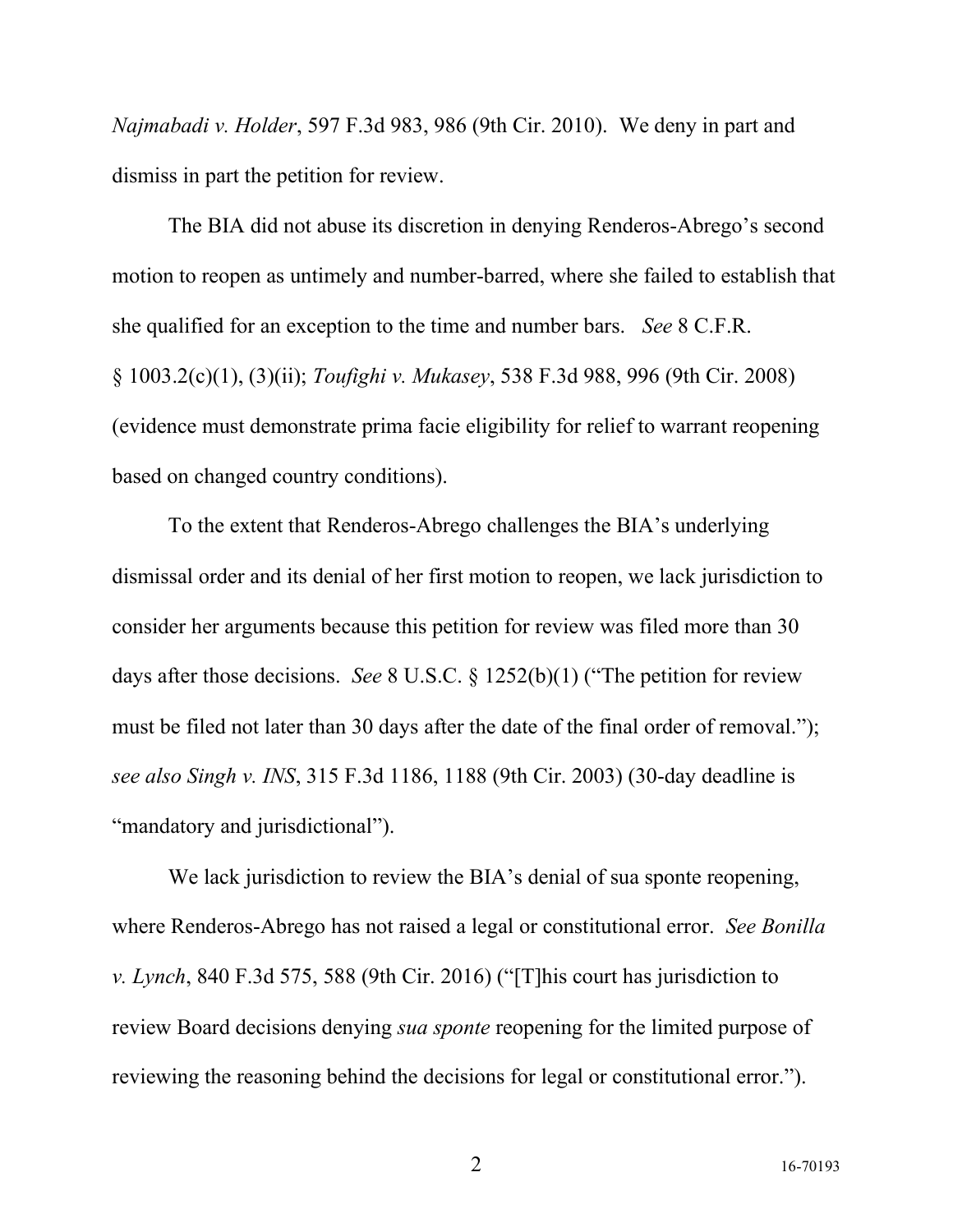*Najmabadi v. Holder*, 597 F.3d 983, 986 (9th Cir. 2010). We deny in part and dismiss in part the petition for review.

The BIA did not abuse its discretion in denying Renderos-Abrego's second motion to reopen as untimely and number-barred, where she failed to establish that she qualified for an exception to the time and number bars. *See* 8 C.F.R. § 1003.2(c)(1), (3)(ii); *Toufighi v. Mukasey*, 538 F.3d 988, 996 (9th Cir. 2008) (evidence must demonstrate prima facie eligibility for relief to warrant reopening based on changed country conditions).

To the extent that Renderos-Abrego challenges the BIA's underlying dismissal order and its denial of her first motion to reopen, we lack jurisdiction to consider her arguments because this petition for review was filed more than 30 days after those decisions. *See* 8 U.S.C. § 1252(b)(1) ("The petition for review must be filed not later than 30 days after the date of the final order of removal."); *see also Singh v. INS*, 315 F.3d 1186, 1188 (9th Cir. 2003) (30-day deadline is "mandatory and jurisdictional").

We lack jurisdiction to review the BIA's denial of sua sponte reopening, where Renderos-Abrego has not raised a legal or constitutional error. *See Bonilla v. Lynch*, 840 F.3d 575, 588 (9th Cir. 2016) ("[T]his court has jurisdiction to review Board decisions denying *sua sponte* reopening for the limited purpose of reviewing the reasoning behind the decisions for legal or constitutional error.").